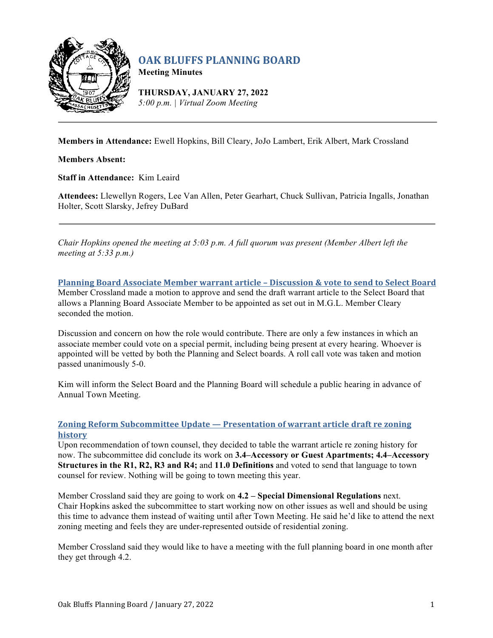

# **OAK BLUFFS PLANNING BOARD**

**Meeting Minutes**

**THURSDAY, JANUARY 27, 2022** *5:00 p.m. | Virtual Zoom Meeting*

**Members in Attendance:** Ewell Hopkins, Bill Cleary, JoJo Lambert, Erik Albert, Mark Crossland

**Members Absent:**

**Staff in Attendance:** Kim Leaird

**Attendees:** Llewellyn Rogers, Lee Van Allen, Peter Gearhart, Chuck Sullivan, Patricia Ingalls, Jonathan Holter, Scott Slarsky, Jefrey DuBard

*Chair Hopkins opened the meeting at 5:03 p.m. A full quorum was present (Member Albert left the meeting at 5:33 p.m.)*

**Planning Board Associate Member warrant article – Discussion & vote to send to Select Board** Member Crossland made a motion to approve and send the draft warrant article to the Select Board that allows a Planning Board Associate Member to be appointed as set out in M.G.L. Member Cleary seconded the motion.

Discussion and concern on how the role would contribute. There are only a few instances in which an associate member could vote on a special permit, including being present at every hearing. Whoever is appointed will be vetted by both the Planning and Select boards. A roll call vote was taken and motion passed unanimously 5-0.

Kim will inform the Select Board and the Planning Board will schedule a public hearing in advance of Annual Town Meeting.

# **Zoning Reform Subcommittee Update — Presentation of warrant article draft re zoning history**

Upon recommendation of town counsel, they decided to table the warrant article re zoning history for now. The subcommittee did conclude its work on **3.4–Accessory or Guest Apartments; 4.4–Accessory Structures in the R1, R2, R3 and R4;** and **11.0 Definitions** and voted to send that language to town counsel for review. Nothing will be going to town meeting this year.

Member Crossland said they are going to work on **4.2 – Special Dimensional Regulations** next. Chair Hopkins asked the subcommittee to start working now on other issues as well and should be using this time to advance them instead of waiting until after Town Meeting. He said he'd like to attend the next zoning meeting and feels they are under-represented outside of residential zoning.

Member Crossland said they would like to have a meeting with the full planning board in one month after they get through 4.2.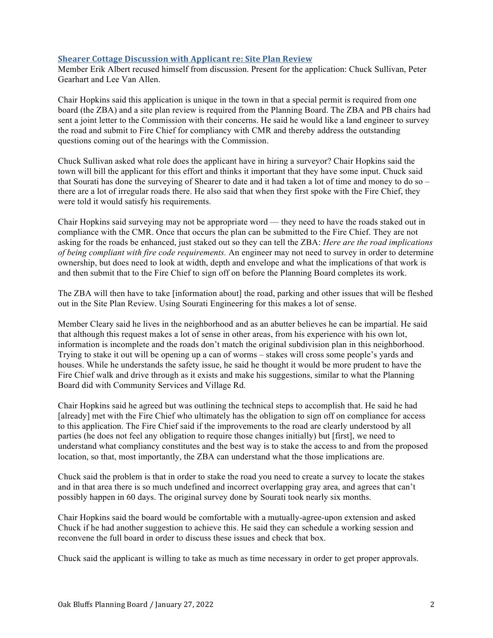### **Shearer Cottage Discussion with Applicant re: Site Plan Review**

Member Erik Albert recused himself from discussion. Present for the application: Chuck Sullivan, Peter Gearhart and Lee Van Allen.

Chair Hopkins said this application is unique in the town in that a special permit is required from one board (the ZBA) and a site plan review is required from the Planning Board. The ZBA and PB chairs had sent a joint letter to the Commission with their concerns. He said he would like a land engineer to survey the road and submit to Fire Chief for compliancy with CMR and thereby address the outstanding questions coming out of the hearings with the Commission.

Chuck Sullivan asked what role does the applicant have in hiring a surveyor? Chair Hopkins said the town will bill the applicant for this effort and thinks it important that they have some input. Chuck said that Sourati has done the surveying of Shearer to date and it had taken a lot of time and money to do so – there are a lot of irregular roads there. He also said that when they first spoke with the Fire Chief, they were told it would satisfy his requirements.

Chair Hopkins said surveying may not be appropriate word — they need to have the roads staked out in compliance with the CMR. Once that occurs the plan can be submitted to the Fire Chief. They are not asking for the roads be enhanced, just staked out so they can tell the ZBA: *Here are the road implications of being compliant with fire code requirements.* An engineer may not need to survey in order to determine ownership, but does need to look at width, depth and envelope and what the implications of that work is and then submit that to the Fire Chief to sign off on before the Planning Board completes its work.

The ZBA will then have to take [information about] the road, parking and other issues that will be fleshed out in the Site Plan Review. Using Sourati Engineering for this makes a lot of sense.

Member Cleary said he lives in the neighborhood and as an abutter believes he can be impartial. He said that although this request makes a lot of sense in other areas, from his experience with his own lot, information is incomplete and the roads don't match the original subdivision plan in this neighborhood. Trying to stake it out will be opening up a can of worms – stakes will cross some people's yards and houses. While he understands the safety issue, he said he thought it would be more prudent to have the Fire Chief walk and drive through as it exists and make his suggestions, similar to what the Planning Board did with Community Services and Village Rd.

Chair Hopkins said he agreed but was outlining the technical steps to accomplish that. He said he had [already] met with the Fire Chief who ultimately has the obligation to sign off on compliance for access to this application. The Fire Chief said if the improvements to the road are clearly understood by all parties (he does not feel any obligation to require those changes initially) but [first], we need to understand what compliancy constitutes and the best way is to stake the access to and from the proposed location, so that, most importantly, the ZBA can understand what the those implications are.

Chuck said the problem is that in order to stake the road you need to create a survey to locate the stakes and in that area there is so much undefined and incorrect overlapping gray area, and agrees that can't possibly happen in 60 days. The original survey done by Sourati took nearly six months.

Chair Hopkins said the board would be comfortable with a mutually-agree-upon extension and asked Chuck if he had another suggestion to achieve this. He said they can schedule a working session and reconvene the full board in order to discuss these issues and check that box.

Chuck said the applicant is willing to take as much as time necessary in order to get proper approvals.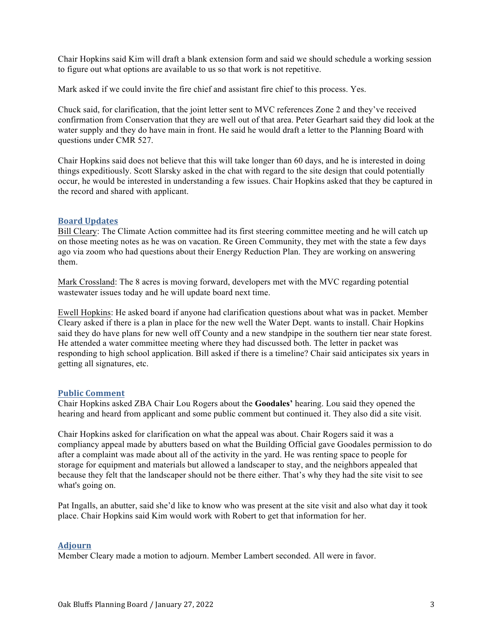Chair Hopkins said Kim will draft a blank extension form and said we should schedule a working session to figure out what options are available to us so that work is not repetitive.

Mark asked if we could invite the fire chief and assistant fire chief to this process. Yes.

Chuck said, for clarification, that the joint letter sent to MVC references Zone 2 and they've received confirmation from Conservation that they are well out of that area. Peter Gearhart said they did look at the water supply and they do have main in front. He said he would draft a letter to the Planning Board with questions under CMR 527.

Chair Hopkins said does not believe that this will take longer than 60 days, and he is interested in doing things expeditiously. Scott Slarsky asked in the chat with regard to the site design that could potentially occur, he would be interested in understanding a few issues. Chair Hopkins asked that they be captured in the record and shared with applicant.

#### **Board Updates**

Bill Cleary: The Climate Action committee had its first steering committee meeting and he will catch up on those meeting notes as he was on vacation. Re Green Community, they met with the state a few days ago via zoom who had questions about their Energy Reduction Plan. They are working on answering them.

Mark Crossland: The 8 acres is moving forward, developers met with the MVC regarding potential wastewater issues today and he will update board next time.

Ewell Hopkins: He asked board if anyone had clarification questions about what was in packet. Member Cleary asked if there is a plan in place for the new well the Water Dept. wants to install. Chair Hopkins said they do have plans for new well off County and a new standpipe in the southern tier near state forest. He attended a water committee meeting where they had discussed both. The letter in packet was responding to high school application. Bill asked if there is a timeline? Chair said anticipates six years in getting all signatures, etc.

#### **Public Comment**

Chair Hopkins asked ZBA Chair Lou Rogers about the **Goodales'** hearing. Lou said they opened the hearing and heard from applicant and some public comment but continued it. They also did a site visit.

Chair Hopkins asked for clarification on what the appeal was about. Chair Rogers said it was a compliancy appeal made by abutters based on what the Building Official gave Goodales permission to do after a complaint was made about all of the activity in the yard. He was renting space to people for storage for equipment and materials but allowed a landscaper to stay, and the neighbors appealed that because they felt that the landscaper should not be there either. That's why they had the site visit to see what's going on.

Pat Ingalls, an abutter, said she'd like to know who was present at the site visit and also what day it took place. Chair Hopkins said Kim would work with Robert to get that information for her.

## **Adjourn**

Member Cleary made a motion to adjourn. Member Lambert seconded. All were in favor.